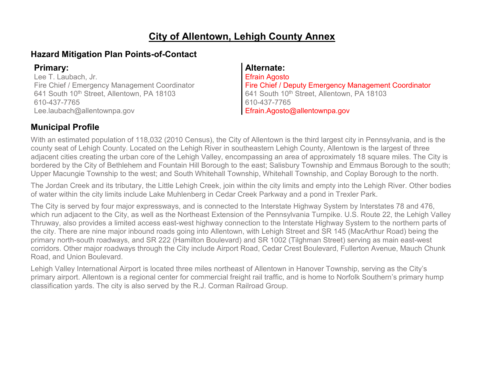#### **City of Allentown, Lehigh County Annex**

#### **Hazard Mitigation Plan Points-of-Contact**

Lee T. Laubach, Jr. Fire Chief / Emergency Management Coordinator 641 South 10<sup>th</sup> Street, Allentown, PA 18103 610-437-7765 Lee.laubach@allentownpa.gov

#### **Primary: Alternate:**

Efrain Agosto Fire Chief / Deputy Emergency Management Coordinator 641 South 10<sup>th</sup> Street, Allentown, PA 18103 610-437-7765 Efrain.Agosto@allentownpa.gov

#### **Municipal Profile**

With an estimated population of 118,032 (2010 Census), the City of Allentown is the third largest city in Pennsylvania, and is the county seat of Lehigh County. Located on the Lehigh River in southeastern Lehigh County, Allentown is the largest of three adjacent cities creating the urban core of the Lehigh Valley, encompassing an area of approximately 18 square miles. The City is bordered by the City of Bethlehem and Fountain Hill Borough to the east; Salisbury Township and Emmaus Borough to the south; Upper Macungie Township to the west; and South Whitehall Township, Whitehall Township, and Coplay Borough to the north.

The Jordan Creek and its tributary, the Little Lehigh Creek, join within the city limits and empty into the Lehigh River. Other bodies of water within the city limits include Lake Muhlenberg in Cedar Creek Parkway and a pond in Trexler Park.

The City is served by four major expressways, and is connected to the Interstate Highway System by Interstates 78 and 476, which run adjacent to the City, as well as the Northeast Extension of the Pennsylvania Turnpike. U.S. Route 22, the Lehigh Valley Thruway, also provides a limited access east-west highway connection to the Interstate Highway System to the northern parts of the city. There are nine major inbound roads going into Allentown, with Lehigh Street and SR 145 (MacArthur Road) being the primary north-south roadways, and SR 222 (Hamilton Boulevard) and SR 1002 (Tilghman Street) serving as main east-west corridors. Other major roadways through the City include Airport Road, Cedar Crest Boulevard, Fullerton Avenue, Mauch Chunk Road, and Union Boulevard.

Lehigh Valley International Airport is located three miles northeast of Allentown in Hanover Township, serving as the City's primary airport. Allentown is a regional center for commercial freight rail traffic, and is home to Norfolk Southern's primary hump classification yards. The city is also served by the R.J. Corman Railroad Group.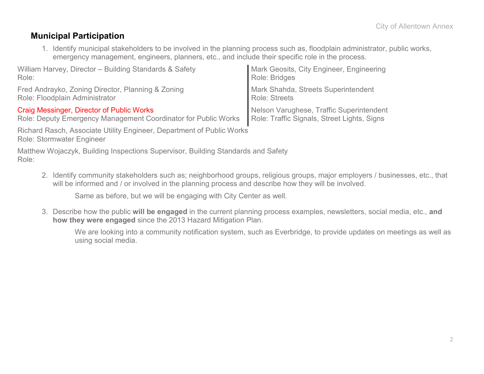#### **Municipal Participation**

1. Identify municipal stakeholders to be involved in the planning process such as, floodplain administrator, public works, emergency management, engineers, planners, etc., and include their specific role in the process.

| William Harvey, Director - Building Standards & Safety         | Mark Geosits, City Engineer, Engineering    |
|----------------------------------------------------------------|---------------------------------------------|
| Role:                                                          | Role: Bridges                               |
| Fred Andrayko, Zoning Director, Planning & Zoning              | Mark Shahda, Streets Superintendent         |
| Role: Floodplain Administrator                                 | <b>Role: Streets</b>                        |
| Craig Messinger, Director of Public Works                      | Nelson Varughese, Traffic Superintendent    |
| Role: Deputy Emergency Management Coordinator for Public Works | Role: Traffic Signals, Street Lights, Signs |

Richard Rasch, Associate Utility Engineer, Department of Public Works Role: Stormwater Engineer

Matthew Wojaczyk, Building Inspections Supervisor, Building Standards and Safety Role:

2. Identify community stakeholders such as; neighborhood groups, religious groups, major employers / businesses, etc., that will be informed and / or involved in the planning process and describe how they will be involved.

Same as before, but we will be engaging with City Center as well.

3. Describe how the public **will be engaged** in the current planning process examples, newsletters, social media, etc., **and how they were engaged** since the 2013 Hazard Mitigation Plan.

We are looking into a community notification system, such as Everbridge, to provide updates on meetings as well as using social media.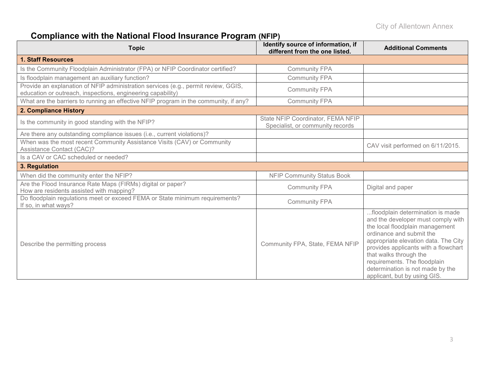# **Compliance with the National Flood Insurance Program (NFIP)**

| <b>Topic</b>                                                                                                                                      | Identify source of information, if<br>different from the one listed.  | <b>Additional Comments</b>                                                                                                                                                                                                                                                                                                                          |
|---------------------------------------------------------------------------------------------------------------------------------------------------|-----------------------------------------------------------------------|-----------------------------------------------------------------------------------------------------------------------------------------------------------------------------------------------------------------------------------------------------------------------------------------------------------------------------------------------------|
| <b>1. Staff Resources</b>                                                                                                                         |                                                                       |                                                                                                                                                                                                                                                                                                                                                     |
| Is the Community Floodplain Administrator (FPA) or NFIP Coordinator certified?                                                                    | <b>Community FPA</b>                                                  |                                                                                                                                                                                                                                                                                                                                                     |
| Is floodplain management an auxiliary function?                                                                                                   | <b>Community FPA</b>                                                  |                                                                                                                                                                                                                                                                                                                                                     |
| Provide an explanation of NFIP administration services (e.g., permit review, GGIS,<br>education or outreach, inspections, engineering capability) | <b>Community FPA</b>                                                  |                                                                                                                                                                                                                                                                                                                                                     |
| What are the barriers to running an effective NFIP program in the community, if any?                                                              | <b>Community FPA</b>                                                  |                                                                                                                                                                                                                                                                                                                                                     |
| 2. Compliance History                                                                                                                             |                                                                       |                                                                                                                                                                                                                                                                                                                                                     |
| Is the community in good standing with the NFIP?                                                                                                  | State NFIP Coordinator, FEMA NFIP<br>Specialist, or community records |                                                                                                                                                                                                                                                                                                                                                     |
| Are there any outstanding compliance issues (i.e., current violations)?                                                                           |                                                                       |                                                                                                                                                                                                                                                                                                                                                     |
| When was the most recent Community Assistance Visits (CAV) or Community<br><b>Assistance Contact (CAC)?</b>                                       |                                                                       | CAV visit performed on 6/11/2015.                                                                                                                                                                                                                                                                                                                   |
| Is a CAV or CAC scheduled or needed?                                                                                                              |                                                                       |                                                                                                                                                                                                                                                                                                                                                     |
| 3. Regulation                                                                                                                                     |                                                                       |                                                                                                                                                                                                                                                                                                                                                     |
| When did the community enter the NFIP?                                                                                                            | <b>NFIP Community Status Book</b>                                     |                                                                                                                                                                                                                                                                                                                                                     |
| Are the Flood Insurance Rate Maps (FIRMs) digital or paper?<br>How are residents assisted with mapping?                                           | <b>Community FPA</b>                                                  | Digital and paper                                                                                                                                                                                                                                                                                                                                   |
| Do floodplain regulations meet or exceed FEMA or State minimum requirements?<br>If so, in what ways?                                              | <b>Community FPA</b>                                                  |                                                                                                                                                                                                                                                                                                                                                     |
| Describe the permitting process                                                                                                                   | Community FPA, State, FEMA NFIP                                       | floodplain determination is made<br>and the developer must comply with<br>the local floodplain management<br>ordinance and submit the<br>appropriate elevation data. The City<br>provides applicants with a flowchart<br>that walks through the<br>requirements. The floodplain<br>determination is not made by the<br>applicant, but by using GIS. |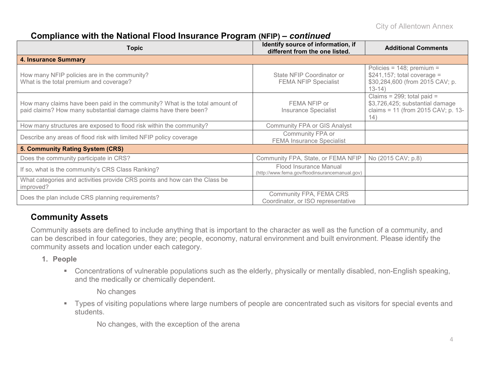#### **Compliance with the National Flood Insurance Program (NFIP) –** *continued*

| Topic                                                                                                                                            | Identify source of information, if<br>different from the one listed.     | <b>Additional Comments</b>                                                                                     |
|--------------------------------------------------------------------------------------------------------------------------------------------------|--------------------------------------------------------------------------|----------------------------------------------------------------------------------------------------------------|
| <b>4. Insurance Summary</b>                                                                                                                      |                                                                          |                                                                                                                |
| How many NFIP policies are in the community?<br>What is the total premium and coverage?                                                          | State NFIP Coordinator or<br><b>FEMA NFIP Specialist</b>                 | Policies = $148$ ; premium =<br>$$241,157$ ; total coverage =<br>\$30,284,600 (from 2015 CAV; p.<br>$13-14)$   |
| How many claims have been paid in the community? What is the total amount of<br>paid claims? How many substantial damage claims have there been? | FEMA NFIP or<br>Insurance Specialist                                     | Claims = $299$ ; total paid =<br>\$3,726,425; substantial damage<br>claims = 11 (from 2015 CAV; p. 13-<br>(14) |
| How many structures are exposed to flood risk within the community?                                                                              | <b>Community FPA or GIS Analyst</b>                                      |                                                                                                                |
| Describe any areas of flood risk with limited NFIP policy coverage                                                                               | Community FPA or<br><b>FEMA Insurance Specialist</b>                     |                                                                                                                |
| 5. Community Rating System (CRS)                                                                                                                 |                                                                          |                                                                                                                |
| Does the community participate in CRS?                                                                                                           | Community FPA, State, or FEMA NFIP                                       | No (2015 CAV; p.8)                                                                                             |
| If so, what is the community's CRS Class Ranking?                                                                                                | Flood Insurance Manual<br>(http://www.fema.gov/floodinsurancemanual.gov) |                                                                                                                |
| What categories and activities provide CRS points and how can the Class be<br>improved?                                                          |                                                                          |                                                                                                                |
| Does the plan include CRS planning requirements?                                                                                                 | Community FPA, FEMA CRS<br>Coordinator, or ISO representative            |                                                                                                                |

#### **Community Assets**

Community assets are defined to include anything that is important to the character as well as the function of a community, and can be described in four categories, they are; people, economy, natural environment and built environment. Please identify the community assets and location under each category.

- **1. People**
	- Concentrations of vulnerable populations such as the elderly, physically or mentally disabled, non-English speaking, and the medically or chemically dependent.

No changes

 Types of visiting populations where large numbers of people are concentrated such as visitors for special events and students.

No changes, with the exception of the arena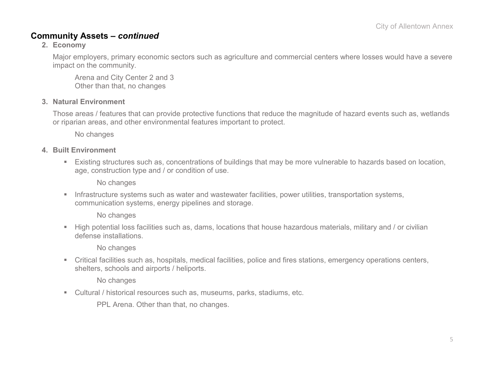#### **Community Assets –** *continued*

#### **2. Economy**

Major employers, primary economic sectors such as agriculture and commercial centers where losses would have a severe impact on the community.

Arena and City Center 2 and 3 Other than that, no changes

#### **3. Natural Environment**

Those areas / features that can provide protective functions that reduce the magnitude of hazard events such as, wetlands or riparian areas, and other environmental features important to protect.

No changes

#### **4. Built Environment**

 Existing structures such as, concentrations of buildings that may be more vulnerable to hazards based on location, age, construction type and / or condition of use.

No changes

**Infrastructure systems such as water and wastewater facilities, power utilities, transportation systems,** communication systems, energy pipelines and storage.

No changes

 High potential loss facilities such as, dams, locations that house hazardous materials, military and / or civilian defense installations.

No changes

 Critical facilities such as, hospitals, medical facilities, police and fires stations, emergency operations centers, shelters, schools and airports / heliports.

No changes

Cultural / historical resources such as, museums, parks, stadiums, etc.

PPL Arena. Other than that, no changes.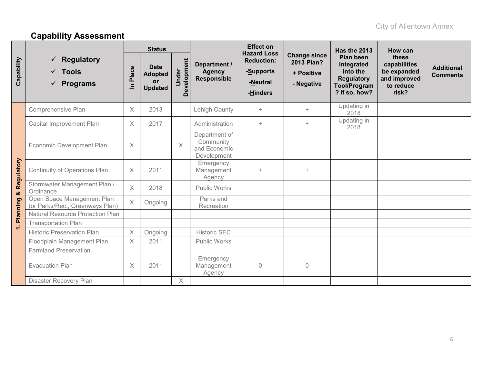# **Capability Assessment**

|            |                                                                       | <b>Status</b> |                                                              |                      |                                                           | <b>Effect on</b><br><b>Hazard Loss</b>                 |                                                               | Has the 2013                                                                                     | How can                                                                    |                                      |
|------------|-----------------------------------------------------------------------|---------------|--------------------------------------------------------------|----------------------|-----------------------------------------------------------|--------------------------------------------------------|---------------------------------------------------------------|--------------------------------------------------------------------------------------------------|----------------------------------------------------------------------------|--------------------------------------|
| Capability | <b>Regulatory</b><br>✓<br>$\checkmark$ Tools<br>$\checkmark$ Programs | Place<br>르    | <b>Date</b><br><b>Adopted</b><br><b>or</b><br><b>Updated</b> | Development<br>Under | Department /<br><b>Agency</b><br><b>Responsible</b>       | <b>Reduction:</b><br>-Supports<br>-Neutral<br>-Hinders | <b>Change since</b><br>2013 Plan?<br>+ Positive<br>- Negative | Plan been<br>integrated<br>into the<br><b>Regulatory</b><br><b>Tool/Program</b><br>? If so, how? | these<br>capabilities<br>be expanded<br>and improved<br>to reduce<br>risk? | <b>Additional</b><br><b>Comments</b> |
|            | Comprehensive Plan                                                    | $\times$      | 2013                                                         |                      | Lehigh County                                             | $\ddot{}$                                              | $^{+}$                                                        | Updating in<br>2018                                                                              |                                                                            |                                      |
|            | Capital Improvement Plan                                              | $\times$      | 2017                                                         |                      | Administration                                            | $\ddot{}$                                              | $+$                                                           | Updating in<br>2018                                                                              |                                                                            |                                      |
| Regulatory | Economic Development Plan                                             | $\times$      |                                                              | $\times$             | Department of<br>Community<br>and Economic<br>Development |                                                        |                                                               |                                                                                                  |                                                                            |                                      |
|            | <b>Continuity of Operations Plan</b>                                  | $\times$      | 2011                                                         |                      | Emergency<br>Management<br>Agency                         | $\ddot{}$                                              | $^{+}$                                                        |                                                                                                  |                                                                            |                                      |
| ಯ          | Stormwater Management Plan /<br>Ordinance                             | $\times$      | 2018                                                         |                      | <b>Public Works</b>                                       |                                                        |                                                               |                                                                                                  |                                                                            |                                      |
| Planning   | Open Space Management Plan<br>(or Parks/Rec., Greenways Plan)         | $\times$      | Ongoing                                                      |                      | Parks and<br>Recreation                                   |                                                        |                                                               |                                                                                                  |                                                                            |                                      |
|            | <b>Natural Resource Protection Plan</b>                               |               |                                                              |                      |                                                           |                                                        |                                                               |                                                                                                  |                                                                            |                                      |
| $\div$     | <b>Transportation Plan</b>                                            |               |                                                              |                      |                                                           |                                                        |                                                               |                                                                                                  |                                                                            |                                      |
|            | <b>Historic Preservation Plan</b>                                     | $\times$      | Ongoing                                                      |                      | <b>Historic SEC</b>                                       |                                                        |                                                               |                                                                                                  |                                                                            |                                      |
|            | Floodplain Management Plan                                            | X             | 2011                                                         |                      | Public Works                                              |                                                        |                                                               |                                                                                                  |                                                                            |                                      |
|            | <b>Farmland Preservation</b>                                          |               |                                                              |                      |                                                           |                                                        |                                                               |                                                                                                  |                                                                            |                                      |
|            | <b>Evacuation Plan</b>                                                | $\times$      | 2011                                                         |                      | Emergency<br>Management<br>Agency                         | $\overline{0}$                                         | 0                                                             |                                                                                                  |                                                                            |                                      |
|            | <b>Disaster Recovery Plan</b>                                         |               |                                                              | $\times$             |                                                           |                                                        |                                                               |                                                                                                  |                                                                            |                                      |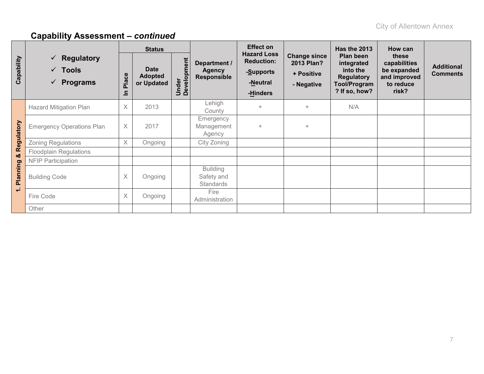|            |                                                                                  | <b>Status</b>         |                                             |                      |                                                     | <b>Effect on</b>                                                             |                                                               | <b>Has the 2013</b>                                                                              | How can                                                                    |                                      |  |
|------------|----------------------------------------------------------------------------------|-----------------------|---------------------------------------------|----------------------|-----------------------------------------------------|------------------------------------------------------------------------------|---------------------------------------------------------------|--------------------------------------------------------------------------------------------------|----------------------------------------------------------------------------|--------------------------------------|--|
| Capability | $\checkmark$ Regulatory<br>$\checkmark$ Tools<br><b>Programs</b><br>$\checkmark$ | Place<br>$\mathbf{a}$ | <b>Date</b><br><b>Adopted</b><br>or Updated | Under<br>Development | Department /<br><b>Agency</b><br><b>Responsible</b> | <b>Hazard Loss</b><br><b>Reduction:</b><br>-Supports<br>-Neutral<br>-Hinders | <b>Change since</b><br>2013 Plan?<br>+ Positive<br>- Negative | Plan been<br>integrated<br>into the<br><b>Regulatory</b><br><b>Tool/Program</b><br>? If so, how? | these<br>capabilities<br>be expanded<br>and improved<br>to reduce<br>risk? | <b>Additional</b><br><b>Comments</b> |  |
|            | <b>Hazard Mitigation Plan</b>                                                    | X                     | 2013                                        |                      | Lehigh<br>County                                    | $\ddot{}$                                                                    | $+$                                                           | N/A                                                                                              |                                                                            |                                      |  |
| Regulatory | <b>Emergency Operations Plan</b>                                                 | X                     | 2017                                        |                      | Emergency<br>Management<br>Agency                   | $\ddot{}$                                                                    | $\ddot{}$                                                     |                                                                                                  |                                                                            |                                      |  |
|            | <b>Zoning Regulations</b>                                                        | $\times$              | Ongoing                                     |                      | City Zoning                                         |                                                                              |                                                               |                                                                                                  |                                                                            |                                      |  |
| ಯ          | <b>Floodplain Regulations</b>                                                    |                       |                                             |                      |                                                     |                                                                              |                                                               |                                                                                                  |                                                                            |                                      |  |
|            | <b>NFIP Participation</b>                                                        |                       |                                             |                      |                                                     |                                                                              |                                                               |                                                                                                  |                                                                            |                                      |  |
| Planning   | <b>Building Code</b>                                                             | X                     | Ongoing                                     |                      | <b>Building</b><br>Safety and<br><b>Standards</b>   |                                                                              |                                                               |                                                                                                  |                                                                            |                                      |  |
| $\div$     | Fire Code                                                                        | X                     | Ongoing                                     |                      | Fire<br>Administration                              |                                                                              |                                                               |                                                                                                  |                                                                            |                                      |  |
|            | Other                                                                            |                       |                                             |                      |                                                     |                                                                              |                                                               |                                                                                                  |                                                                            |                                      |  |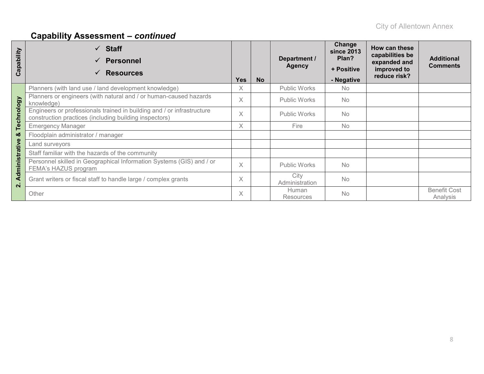| Capability              | <b>Staff</b><br><b>Personnel</b><br><b>Resources</b>                                                                             | <b>Yes</b> | <b>No</b> | Department /<br><b>Agency</b> | Change<br><b>since 2013</b><br>Plan?<br>+ Positive<br>- Negative | How can these<br>capabilities be<br>expanded and<br>improved to<br>reduce risk? | <b>Additional</b><br><b>Comments</b> |
|-------------------------|----------------------------------------------------------------------------------------------------------------------------------|------------|-----------|-------------------------------|------------------------------------------------------------------|---------------------------------------------------------------------------------|--------------------------------------|
|                         | Planners (with land use / land development knowledge)                                                                            | X          |           | Public Works                  | No.                                                              |                                                                                 |                                      |
|                         | Planners or engineers (with natural and / or human-caused hazards<br>knowledge)                                                  | $\times$   |           | Public Works                  | <b>No</b>                                                        |                                                                                 |                                      |
| Technology              | Engineers or professionals trained in building and / or infrastructure<br>construction practices (including building inspectors) |            |           | Public Works                  | <b>No</b>                                                        |                                                                                 |                                      |
|                         | <b>Emergency Manager</b>                                                                                                         |            |           | Fire                          | <b>No</b>                                                        |                                                                                 |                                      |
| ×                       | Floodplain administrator / manager                                                                                               |            |           |                               |                                                                  |                                                                                 |                                      |
|                         | Land surveyors                                                                                                                   |            |           |                               |                                                                  |                                                                                 |                                      |
|                         | Staff familiar with the hazards of the community                                                                                 |            |           |                               |                                                                  |                                                                                 |                                      |
| Administrative          | Personnel skilled in Geographical Information Systems (GIS) and / or<br>FEMA's HAZUS program                                     |            |           | Public Works                  | <b>No</b>                                                        |                                                                                 |                                      |
| $\overline{\mathbf{a}}$ | Grant writers or fiscal staff to handle large / complex grants                                                                   | $\times$   |           | City<br>Administration        | <b>No</b>                                                        |                                                                                 |                                      |
|                         | Other                                                                                                                            | X          |           | Human<br><b>Resources</b>     | <b>No</b>                                                        |                                                                                 | <b>Benefit Cost</b><br>Analysis      |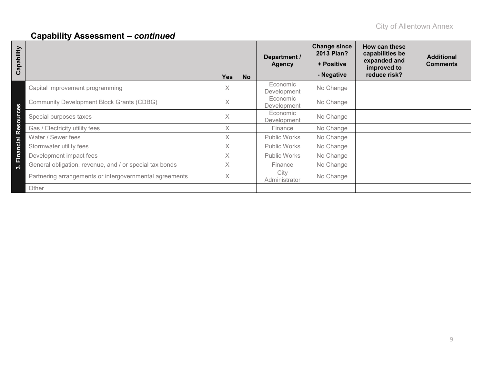| Capability       |                                                         | <b>Yes</b> | <b>No</b> | Department /<br><b>Agency</b> | <b>Change since</b><br>2013 Plan?<br>+ Positive<br>- Negative | How can these<br>capabilities be<br>expanded and<br>improved to<br>reduce risk? | <b>Additional</b><br><b>Comments</b> |
|------------------|---------------------------------------------------------|------------|-----------|-------------------------------|---------------------------------------------------------------|---------------------------------------------------------------------------------|--------------------------------------|
|                  | Capital improvement programming                         | X.         |           | Economic<br>Development       | No Change                                                     |                                                                                 |                                      |
|                  | <b>Community Development Block Grants (CDBG)</b>        | X          |           | Economic<br>Development       | No Change                                                     |                                                                                 |                                      |
| ources           | Special purposes taxes                                  | X          |           | Economic<br>Development       | No Change                                                     |                                                                                 |                                      |
| <b>Res</b>       | Gas / Electricity utility fees                          | X          |           | Finance                       | No Change                                                     |                                                                                 |                                      |
|                  | Water / Sewer fees                                      | X.         |           | Public Works                  | No Change                                                     |                                                                                 |                                      |
| <b>Financial</b> | Stormwater utility fees                                 | $\times$   |           | Public Works                  | No Change                                                     |                                                                                 |                                      |
|                  | Development impact fees                                 | $\times$   |           | Public Works                  | No Change                                                     |                                                                                 |                                      |
| က                | General obligation, revenue, and / or special tax bonds | X.         |           | Finance                       | No Change                                                     |                                                                                 |                                      |
|                  | Partnering arrangements or intergovernmental agreements | X          |           | City<br>Administrator         | No Change                                                     |                                                                                 |                                      |
|                  | Other                                                   |            |           |                               |                                                               |                                                                                 |                                      |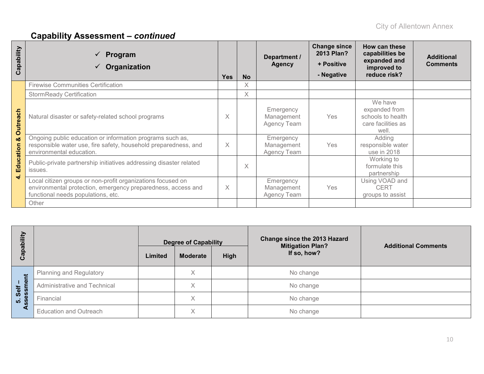| Capability             | Program<br>Organization                                                                                                                                           | <b>Yes</b> | <b>No</b> | Department /<br><b>Agency</b>          | <b>Change since</b><br>2013 Plan?<br>+ Positive<br>- Negative | How can these<br>capabilities be<br>expanded and<br>improved to<br>reduce risk? | <b>Additional</b><br><b>Comments</b> |
|------------------------|-------------------------------------------------------------------------------------------------------------------------------------------------------------------|------------|-----------|----------------------------------------|---------------------------------------------------------------|---------------------------------------------------------------------------------|--------------------------------------|
|                        | <b>Firewise Communities Certification</b>                                                                                                                         |            | X         |                                        |                                                               |                                                                                 |                                      |
|                        | <b>StormReady Certification</b>                                                                                                                                   |            | X         |                                        |                                                               |                                                                                 |                                      |
| Outreach               | Natural disaster or safety-related school programs                                                                                                                | X          |           | Emergency<br>Management<br>Agency Team | Yes                                                           | We have<br>expanded from<br>schools to health<br>care facilities as<br>well.    |                                      |
| οð                     | Ongoing public education or information programs such as,<br>responsible water use, fire safety, household preparedness, and<br>environmental education.          | $\times$   |           | Emergency<br>Management<br>Agency Team | Yes                                                           | Adding<br>responsible water<br>use in 2018                                      |                                      |
| Education<br>$\vec{r}$ | Public-private partnership initiatives addressing disaster related<br>issues.                                                                                     |            | $\times$  |                                        |                                                               | Working to<br>formulate this<br>partnership                                     |                                      |
|                        | Local citizen groups or non-profit organizations focused on<br>environmental protection, emergency preparedness, access and<br>functional needs populations, etc. | $\times$   |           | Emergency<br>Management<br>Agency Team | Yes                                                           | Using VOAD and<br><b>CERT</b><br>groups to assist                               |                                      |
|                        | Other                                                                                                                                                             |            |           |                                        |                                                               |                                                                                 |                                      |

| ξÎ               |                                | <b>Degree of Capability</b> |                 |      | Change since the 2013 Hazard<br><b>Mitigation Plan?</b> | <b>Additional Comments</b> |  |
|------------------|--------------------------------|-----------------------------|-----------------|------|---------------------------------------------------------|----------------------------|--|
| ලි               |                                | Limited                     | <b>Moderate</b> | High | If so, how?                                             |                            |  |
|                  | <b>Planning and Regulatory</b> |                             | X               |      | No change                                               |                            |  |
| ှစ<br>Self<br>E  | Administrative and Technical   |                             | Χ               |      | No change                                               |                            |  |
| ιğ<br>Θ<br>ທ່ ທີ | Financial                      |                             | $\times$        |      | No change                                               |                            |  |
|                  | <b>Education and Outreach</b>  |                             | X               |      | No change                                               |                            |  |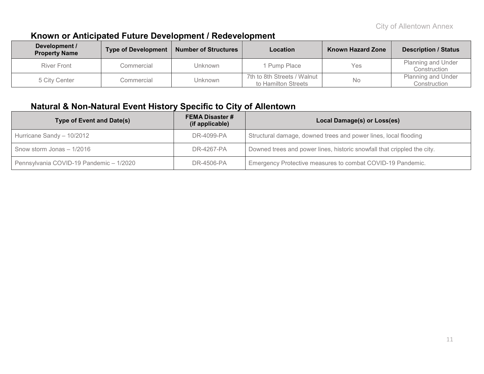#### **Known or Anticipated Future Development / Redevelopment**

| Development /<br><b>Property Name</b> | <b>Type of Development</b> | <b>Number of Structures</b> | Location                                           | <b>Known Hazard Zone</b> | <b>Description / Status</b>        |
|---------------------------------------|----------------------------|-----------------------------|----------------------------------------------------|--------------------------|------------------------------------|
| <b>River Front</b>                    | Commercial                 | Unknown                     | 1 Pump Place                                       | <b>Yes</b>               | Planning and Under<br>Construction |
| 5 City Center                         | Commercial                 | Unknown                     | 7th to 8th Streets / Walnut<br>to Hamilton Streets | No                       | Planning and Under<br>Construction |

#### **Natural & Non-Natural Event History Specific to City of Allentown**

| Type of Event and Date(s)               | <b>FEMA Disaster #</b><br>(if applicable) | Local Damage(s) or Loss(es)                                             |
|-----------------------------------------|-------------------------------------------|-------------------------------------------------------------------------|
| Hurricane Sandy - 10/2012               | DR-4099-PA                                | Structural damage, downed trees and power lines, local flooding         |
| Snow storm Jonas - 1/2016               | DR-4267-PA                                | Downed trees and power lines, historic snowfall that crippled the city. |
| Pennsylvania COVID-19 Pandemic - 1/2020 | DR-4506-PA                                | Emergency Protective measures to combat COVID-19 Pandemic.              |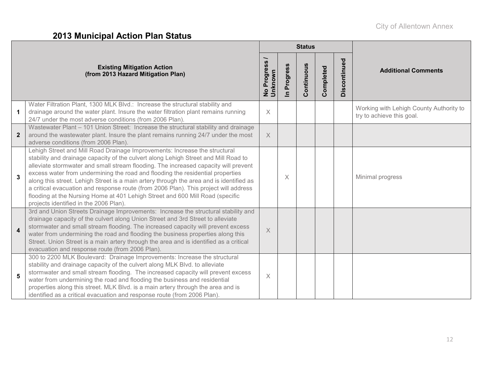# **2013 Municipal Action Plan Status**

|                                                                                                                                                                                                                                                                                                                                                                                                                                                                                                                                                                                                                                                                          |                                    |                                     | <b>Status</b> |           |              |                                                                      |
|--------------------------------------------------------------------------------------------------------------------------------------------------------------------------------------------------------------------------------------------------------------------------------------------------------------------------------------------------------------------------------------------------------------------------------------------------------------------------------------------------------------------------------------------------------------------------------------------------------------------------------------------------------------------------|------------------------------------|-------------------------------------|---------------|-----------|--------------|----------------------------------------------------------------------|
| <b>Existing Mitigation Action</b><br>(from 2013 Hazard Mitigation Plan)                                                                                                                                                                                                                                                                                                                                                                                                                                                                                                                                                                                                  | <b>S</b><br>No Progress<br>Unknown | Progress<br>$\overline{\mathbf{z}}$ | Continuous    | Completed | Discontinued | <b>Additional Comments</b>                                           |
| Water Filtration Plant, 1300 MLK Blvd.: Increase the structural stability and<br>drainage around the water plant. Insure the water filtration plant remains running<br>$\mathbf{1}$<br>24/7 under the most adverse conditions (from 2006 Plan).                                                                                                                                                                                                                                                                                                                                                                                                                          | $\times$                           |                                     |               |           |              | Working with Lehigh County Authority to<br>try to achieve this goal. |
| Wastewater Plant - 101 Union Street: Increase the structural stability and drainage<br>around the wastewater plant. Insure the plant remains running 24/7 under the most<br>$\overline{2}$<br>adverse conditions (from 2006 Plan).                                                                                                                                                                                                                                                                                                                                                                                                                                       | $\times$                           |                                     |               |           |              |                                                                      |
| Lehigh Street and Mill Road Drainage Improvements: Increase the structural<br>stability and drainage capacity of the culvert along Lehigh Street and Mill Road to<br>alleviate stormwater and small stream flooding. The increased capacity will prevent<br>excess water from undermining the road and flooding the residential properties<br>$\mathbf{3}$<br>along this street. Lehigh Street is a main artery through the area and is identified as<br>a critical evacuation and response route (from 2006 Plan). This project will address<br>flooding at the Nursing Home at 401 Lehigh Street and 600 Mill Road (specific<br>projects identified in the 2006 Plan). |                                    | X                                   |               |           |              | Minimal progress                                                     |
| 3rd and Union Streets Drainage Improvements: Increase the structural stability and<br>drainage capacity of the culvert along Union Street and 3rd Street to alleviate<br>stormwater and small stream flooding. The increased capacity will prevent excess<br>$\overline{\mathbf{4}}$<br>water from undermining the road and flooding the business properties along this<br>Street. Union Street is a main artery through the area and is identified as a critical<br>evacuation and response route (from 2006 Plan).                                                                                                                                                     | $\times$                           |                                     |               |           |              |                                                                      |
| 300 to 2200 MLK Boulevard: Drainage Improvements: Increase the structural<br>stability and drainage capacity of the culvert along MLK Blvd. to alleviate<br>stormwater and small stream flooding. The increased capacity will prevent excess<br>5<br>water from undermining the road and flooding the business and residential<br>properties along this street. MLK Blvd. is a main artery through the area and is<br>identified as a critical evacuation and response route (from 2006 Plan).                                                                                                                                                                           | $\times$                           |                                     |               |           |              |                                                                      |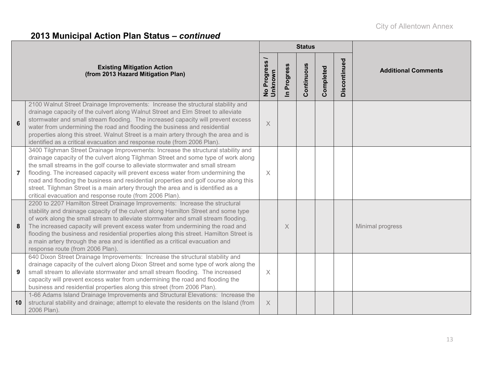|                 |                                                                                                                                                                                                                                                                                                                                                                                                                                                                                                                                                                                     |                          |                            | <b>Status</b> |           |              |                            |
|-----------------|-------------------------------------------------------------------------------------------------------------------------------------------------------------------------------------------------------------------------------------------------------------------------------------------------------------------------------------------------------------------------------------------------------------------------------------------------------------------------------------------------------------------------------------------------------------------------------------|--------------------------|----------------------------|---------------|-----------|--------------|----------------------------|
|                 | <b>Existing Mitigation Action</b><br>(from 2013 Hazard Mitigation Plan)                                                                                                                                                                                                                                                                                                                                                                                                                                                                                                             | No Progress /<br>Unknown | Progress<br>$\blacksquare$ | Continuous    | Completed | Discontinued | <b>Additional Comments</b> |
| $6\phantom{1}6$ | 2100 Walnut Street Drainage Improvements: Increase the structural stability and<br>drainage capacity of the culvert along Walnut Street and Elm Street to alleviate<br>stormwater and small stream flooding. The increased capacity will prevent excess<br>water from undermining the road and flooding the business and residential<br>properties along this street. Walnut Street is a main artery through the area and is<br>identified as a critical evacuation and response route (from 2006 Plan).                                                                            | $\times$                 |                            |               |           |              |                            |
| $\overline{7}$  | 3400 Tilghman Street Drainage Improvements: Increase the structural stability and<br>drainage capacity of the culvert along Tilghman Street and some type of work along<br>the small streams in the golf course to alleviate stormwater and small stream<br>flooding. The increased capacity will prevent excess water from undermining the<br>road and flooding the business and residential properties and golf course along this<br>street. Tilghman Street is a main artery through the area and is identified as a<br>critical evacuation and response route (from 2006 Plan). | $\times$                 |                            |               |           |              |                            |
| 8               | 2200 to 2207 Hamilton Street Drainage Improvements: Increase the structural<br>stability and drainage capacity of the culvert along Hamilton Street and some type<br>of work along the small stream to alleviate stormwater and small stream flooding.<br>The increased capacity will prevent excess water from undermining the road and<br>flooding the business and residential properties along this street. Hamilton Street is<br>a main artery through the area and is identified as a critical evacuation and<br>response route (from 2006 Plan).                             |                          | $\times$                   |               |           |              | Minimal progress           |
| 9               | 640 Dixon Street Drainage Improvements: Increase the structural stability and<br>drainage capacity of the culvert along Dixon Street and some type of work along the<br>small stream to alleviate stormwater and small stream flooding. The increased<br>capacity will prevent excess water from undermining the road and flooding the<br>business and residential properties along this street (from 2006 Plan).                                                                                                                                                                   | $\times$                 |                            |               |           |              |                            |
| 10              | 1-66 Adams Island Drainage Improvements and Structural Elevations: Increase the<br>structural stability and drainage; attempt to elevate the residents on the Island (from<br>2006 Plan).                                                                                                                                                                                                                                                                                                                                                                                           | $\times$                 |                            |               |           |              |                            |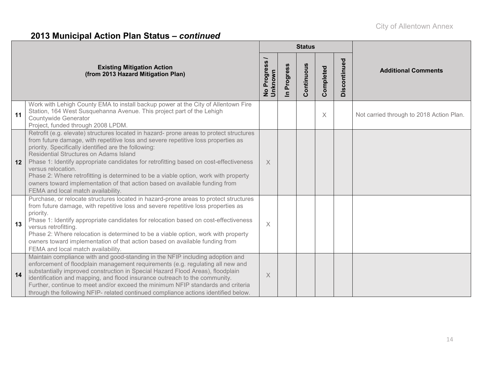|    |                                                                                                                                                                                                                                                                                                                                                                                                                                                                                                                                                                                                           | <b>Status</b>            |                          |            |           |              |                                          |
|----|-----------------------------------------------------------------------------------------------------------------------------------------------------------------------------------------------------------------------------------------------------------------------------------------------------------------------------------------------------------------------------------------------------------------------------------------------------------------------------------------------------------------------------------------------------------------------------------------------------------|--------------------------|--------------------------|------------|-----------|--------------|------------------------------------------|
|    | <b>Existing Mitigation Action</b><br>(from 2013 Hazard Mitigation Plan)                                                                                                                                                                                                                                                                                                                                                                                                                                                                                                                                   | No Progress /<br>Unknown | Progress<br>$\mathbf{a}$ | Continuous | Completed | Discontinued | <b>Additional Comments</b>               |
| 11 | Work with Lehigh County EMA to install backup power at the City of Allentown Fire<br>Station, 164 West Susquehanna Avenue. This project part of the Lehigh<br><b>Countywide Generator</b><br>Project, funded through 2008 LPDM.                                                                                                                                                                                                                                                                                                                                                                           |                          |                          |            | X         |              | Not carried through to 2018 Action Plan. |
| 12 | Retrofit (e.g. elevate) structures located in hazard- prone areas to protect structures<br>from future damage, with repetitive loss and severe repetitive loss properties as<br>priority. Specifically identified are the following:<br>Residential Structures on Adams Island<br>Phase 1: Identify appropriate candidates for retrofitting based on cost-effectiveness<br>versus relocation.<br>Phase 2: Where retrofitting is determined to be a viable option, work with property<br>owners toward implementation of that action based on available funding from<br>FEMA and local match availability. | X                        |                          |            |           |              |                                          |
| 13 | Purchase, or relocate structures located in hazard-prone areas to protect structures<br>from future damage, with repetitive loss and severe repetitive loss properties as<br>priority.<br>Phase 1: Identify appropriate candidates for relocation based on cost-effectiveness<br>versus retrofitting.<br>Phase 2: Where relocation is determined to be a viable option, work with property<br>owners toward implementation of that action based on available funding from<br>FEMA and local match availability.                                                                                           | $\times$                 |                          |            |           |              |                                          |
| 14 | Maintain compliance with and good-standing in the NFIP including adoption and<br>enforcement of floodplain management requirements (e.g. regulating all new and<br>substantially improved construction in Special Hazard Flood Areas), floodplain<br>identification and mapping, and flood insurance outreach to the community.<br>Further, continue to meet and/or exceed the minimum NFIP standards and criteria<br>through the following NFIP- related continued compliance actions identified below.                                                                                                  | X                        |                          |            |           |              |                                          |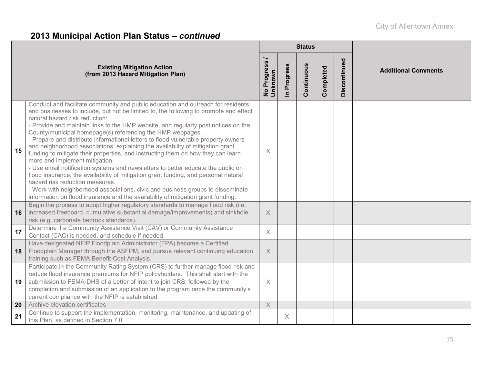|    |                                                                                                                                                                                                                                                                                                                                                                                                                                                                                                                                                                                                                                                                                                                                                                                                                                                                                                                                                                                                                                                    |                          |             | <b>Status</b> |           |              |                            |
|----|----------------------------------------------------------------------------------------------------------------------------------------------------------------------------------------------------------------------------------------------------------------------------------------------------------------------------------------------------------------------------------------------------------------------------------------------------------------------------------------------------------------------------------------------------------------------------------------------------------------------------------------------------------------------------------------------------------------------------------------------------------------------------------------------------------------------------------------------------------------------------------------------------------------------------------------------------------------------------------------------------------------------------------------------------|--------------------------|-------------|---------------|-----------|--------------|----------------------------|
|    | <b>Existing Mitigation Action</b><br>(from 2013 Hazard Mitigation Plan)                                                                                                                                                                                                                                                                                                                                                                                                                                                                                                                                                                                                                                                                                                                                                                                                                                                                                                                                                                            | No Progress /<br>Unknown | In Progress | Continuous    | Completed | Discontinued | <b>Additional Comments</b> |
| 15 | Conduct and facilitate community and public education and outreach for residents<br>and businesses to include, but not be limited to, the following to promote and effect<br>natural hazard risk reduction:<br>- Provide and maintain links to the HMP website, and regularly post notices on the<br>County/municipal homepage(s) referencing the HMP webpages.<br>- Prepare and distribute informational letters to flood vulnerable property owners<br>and neighborhood associations, explaining the availability of mitigation grant<br>funding to mitigate their properties, and instructing them on how they can learn<br>more and implement mitigation.<br>- Use email notification systems and newsletters to better educate the public on<br>flood insurance, the availability of mitigation grant funding, and personal natural<br>hazard risk reduction measures.<br>- Work with neighborhood associations, civic and business groups to disseminate<br>information on flood insurance and the availability of mitigation grant funding. | $\times$                 |             |               |           |              |                            |
| 16 | Begin the process to adopt higher regulatory standards to manage flood risk (i.e.<br>increased freeboard, cumulative substantial damage/improvements) and sinkhole<br>risk (e.g. carbonate bedrock standards).                                                                                                                                                                                                                                                                                                                                                                                                                                                                                                                                                                                                                                                                                                                                                                                                                                     | $\times$                 |             |               |           |              |                            |
| 17 | Determine if a Community Assistance Visit (CAV) or Community Assistance<br>Contact (CAC) is needed, and schedule if needed.                                                                                                                                                                                                                                                                                                                                                                                                                                                                                                                                                                                                                                                                                                                                                                                                                                                                                                                        | $\times$                 |             |               |           |              |                            |
| 18 | Have designated NFIP Floodplain Administrator (FPA) become a Certified<br>Floodplain Manager through the ASFPM, and pursue relevant continuing education<br>training such as FEMA Benefit-Cost Analysis.                                                                                                                                                                                                                                                                                                                                                                                                                                                                                                                                                                                                                                                                                                                                                                                                                                           | $\times$                 |             |               |           |              |                            |
| 19 | Participate in the Community Rating System (CRS) to further manage flood risk and<br>reduce flood insurance premiums for NFIP policyholders. This shall start with the<br>submission to FEMA-DHS of a Letter of Intent to join CRS, followed by the<br>completion and submission of an application to the program once the community's<br>current compliance with the NFIP is established.                                                                                                                                                                                                                                                                                                                                                                                                                                                                                                                                                                                                                                                         | X                        |             |               |           |              |                            |
| 20 | Archive elevation certificates                                                                                                                                                                                                                                                                                                                                                                                                                                                                                                                                                                                                                                                                                                                                                                                                                                                                                                                                                                                                                     | $\times$                 |             |               |           |              |                            |
| 21 | Continue to support the implementation, monitoring, maintenance, and updating of<br>this Plan, as defined in Section 7.0                                                                                                                                                                                                                                                                                                                                                                                                                                                                                                                                                                                                                                                                                                                                                                                                                                                                                                                           |                          | X           |               |           |              |                            |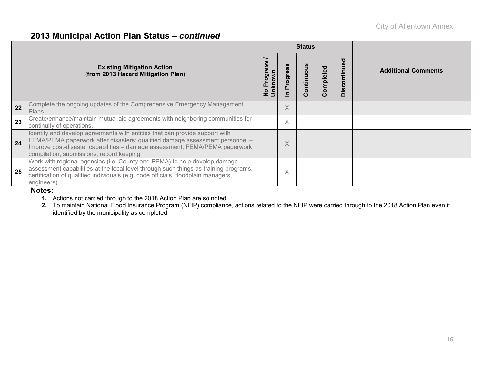|    |                                                                                                                                                                                                                                                                                         |                                 |           | <b>Status</b> |          |              |                            |
|----|-----------------------------------------------------------------------------------------------------------------------------------------------------------------------------------------------------------------------------------------------------------------------------------------|---------------------------------|-----------|---------------|----------|--------------|----------------------------|
|    | <b>Existing Mitigation Action</b><br>(from 2013 Hazard Mitigation Plan)                                                                                                                                                                                                                 | Progres<br>No Progre<br>Unknown | ဖိ<br>rog | ontinuous     | ompleted | Discontinued | <b>Additional Comments</b> |
| 22 | Complete the ongoing updates of the Comprehensive Emergency Management<br>Plans.                                                                                                                                                                                                        |                                 | X         |               |          |              |                            |
| 23 | Create/enhance/maintain mutual aid agreements with neighboring communities for<br>continuity of operations.                                                                                                                                                                             |                                 | X         |               |          |              |                            |
| 24 | Identify and develop agreements with entities that can provide support with<br>FEMA/PEMA paperwork after disasters; qualified damage assessment personnel -<br>Improve post-disaster capabilities - damage assessment; FEMA/PEMA paperwork<br>compilation, submissions, record keeping. |                                 | X         |               |          |              |                            |
| 25 | Work with regional agencies (i.e. County and PEMA) to help develop damage<br>assessment capabilities at the local level through such things as training programs,<br>certification of qualified individuals (e.g. code officials, floodplain managers,<br>engineers).                   |                                 | Χ         |               |          |              |                            |

#### **Notes:**

- **1.** Actions not carried through to the 2018 Action Plan are so noted.
- **2.** To maintain National Flood Insurance Program (NFIP) compliance, actions related to the NFIP were carried through to the 2018 Action Plan even if identified by the municipality as completed.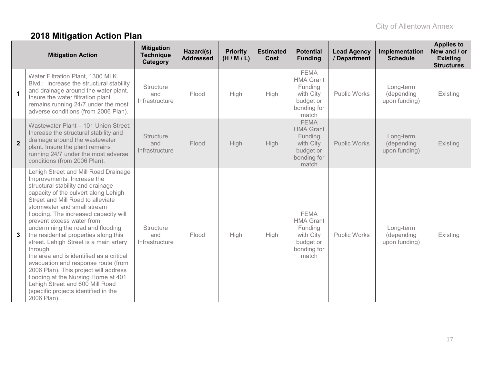# **2018 Mitigation Action Plan**

|                | <b>Mitigation Action</b>                                                                                                                                                                                                                                                                                                                                                                                                                                                                                                                                                                                                                                                                  | <b>Mitigation</b><br><b>Technique</b><br>Category | Hazard(s)<br><b>Addressed</b> | <b>Priority</b><br>(H/M/L) | <b>Estimated</b><br>Cost | <b>Potential</b><br><b>Funding</b>                                                           | <b>Lead Agency</b><br>/ Department | Implementation<br><b>Schedule</b>        | <b>Applies to</b><br>New and / or<br><b>Existing</b><br><b>Structures</b> |
|----------------|-------------------------------------------------------------------------------------------------------------------------------------------------------------------------------------------------------------------------------------------------------------------------------------------------------------------------------------------------------------------------------------------------------------------------------------------------------------------------------------------------------------------------------------------------------------------------------------------------------------------------------------------------------------------------------------------|---------------------------------------------------|-------------------------------|----------------------------|--------------------------|----------------------------------------------------------------------------------------------|------------------------------------|------------------------------------------|---------------------------------------------------------------------------|
| $\mathbf 1$    | Water Filtration Plant, 1300 MLK<br>Blvd.: Increase the structural stability<br>and drainage around the water plant.<br>Insure the water filtration plant<br>remains running 24/7 under the most<br>adverse conditions (from 2006 Plan).                                                                                                                                                                                                                                                                                                                                                                                                                                                  | <b>Structure</b><br>and<br>Infrastructure         | Flood                         | High                       | High                     | <b>FEMA</b><br><b>HMA Grant</b><br>Funding<br>with City<br>budget or<br>bonding for<br>match | <b>Public Works</b>                | Long-term<br>(depending<br>upon funding) | Existing                                                                  |
| $\overline{2}$ | Wastewater Plant - 101 Union Street:<br>Increase the structural stability and<br>drainage around the wastewater<br>plant. Insure the plant remains<br>running 24/7 under the most adverse<br>conditions (from 2006 Plan).                                                                                                                                                                                                                                                                                                                                                                                                                                                                 | <b>Structure</b><br>and<br>Infrastructure         | Flood                         | High                       | High                     | <b>FEMA</b><br><b>HMA Grant</b><br>Funding<br>with City<br>budget or<br>bonding for<br>match | <b>Public Works</b>                | Long-term<br>(depending<br>upon funding) | Existing                                                                  |
| 3              | Lehigh Street and Mill Road Drainage<br>Improvements: Increase the<br>structural stability and drainage<br>capacity of the culvert along Lehigh<br>Street and Mill Road to alleviate<br>stormwater and small stream<br>flooding. The increased capacity will<br>prevent excess water from<br>undermining the road and flooding<br>the residential properties along this<br>street. Lehigh Street is a main artery<br>through<br>the area and is identified as a critical<br>evacuation and response route (from<br>2006 Plan). This project will address<br>flooding at the Nursing Home at 401<br>Lehigh Street and 600 Mill Road<br>(specific projects identified in the<br>2006 Plan). | Structure<br>and<br>Infrastructure                | Flood                         | High                       | High                     | <b>FEMA</b><br><b>HMA Grant</b><br>Funding<br>with City<br>budget or<br>bonding for<br>match | <b>Public Works</b>                | Long-term<br>(depending<br>upon funding) | Existing                                                                  |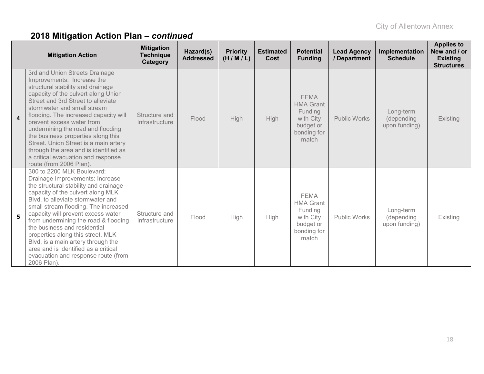|                       | <b>Mitigation Action</b>                                                                                                                                                                                                                                                                                                                                                                                                                                                                                          | <b>Mitigation</b><br><b>Technique</b><br>Category | Hazard(s)<br><b>Addressed</b> | <b>Priority</b><br>(H/M/L) | <b>Estimated</b><br>Cost | <b>Potential</b><br><b>Funding</b>                                                           | <b>Lead Agency</b><br>/ Department | Implementation<br><b>Schedule</b>        | <b>Applies to</b><br>New and / or<br><b>Existing</b><br><b>Structures</b> |
|-----------------------|-------------------------------------------------------------------------------------------------------------------------------------------------------------------------------------------------------------------------------------------------------------------------------------------------------------------------------------------------------------------------------------------------------------------------------------------------------------------------------------------------------------------|---------------------------------------------------|-------------------------------|----------------------------|--------------------------|----------------------------------------------------------------------------------------------|------------------------------------|------------------------------------------|---------------------------------------------------------------------------|
| $\boldsymbol{\Delta}$ | 3rd and Union Streets Drainage<br>Improvements: Increase the<br>structural stability and drainage<br>capacity of the culvert along Union<br>Street and 3rd Street to alleviate<br>stormwater and small stream<br>flooding. The increased capacity will<br>prevent excess water from<br>undermining the road and flooding<br>the business properties along this<br>Street. Union Street is a main artery<br>through the area and is identified as<br>a critical evacuation and response<br>route (from 2006 Plan). | Structure and<br>Infrastructure                   | Flood                         | High                       | High                     | <b>FEMA</b><br><b>HMA Grant</b><br>Funding<br>with City<br>budget or<br>bonding for<br>match | <b>Public Works</b>                | Long-term<br>(depending<br>upon funding) | Existing                                                                  |
| 5                     | 300 to 2200 MLK Boulevard:<br>Drainage Improvements: Increase<br>the structural stability and drainage<br>capacity of the culvert along MLK<br>Blyd, to alleviate stormwater and<br>small stream flooding. The increased<br>capacity will prevent excess water<br>from undermining the road & flooding<br>the business and residential<br>properties along this street. MLK<br>Blvd. is a main artery through the<br>area and is identified as a critical<br>evacuation and response route (from<br>2006 Plan).   | Structure and<br>Infrastructure                   | Flood                         | High                       | High                     | <b>FEMA</b><br><b>HMA Grant</b><br>Funding<br>with City<br>budget or<br>bonding for<br>match | <b>Public Works</b>                | Long-term<br>(depending<br>upon funding) | Existing                                                                  |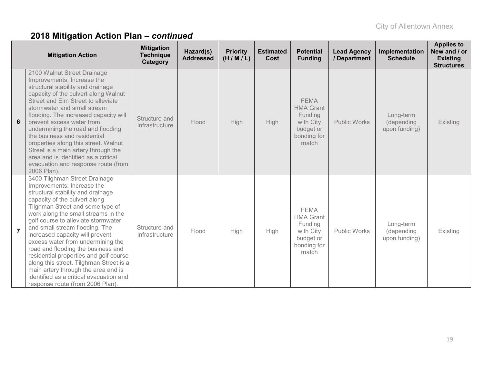|                 | <b>Mitigation Action</b>                                                                                                                                                                                                                                                                                                                                                                                                                                                                                                                                                                                       | <b>Mitigation</b><br><b>Technique</b><br>Category | Hazard(s)<br><b>Addressed</b> | <b>Priority</b><br>(H/M/L) | <b>Estimated</b><br>Cost | <b>Potential</b><br><b>Funding</b>                                                           | <b>Lead Agency</b><br>/ Department | Implementation<br><b>Schedule</b>        | <b>Applies to</b><br>New and / or<br><b>Existing</b><br><b>Structures</b> |
|-----------------|----------------------------------------------------------------------------------------------------------------------------------------------------------------------------------------------------------------------------------------------------------------------------------------------------------------------------------------------------------------------------------------------------------------------------------------------------------------------------------------------------------------------------------------------------------------------------------------------------------------|---------------------------------------------------|-------------------------------|----------------------------|--------------------------|----------------------------------------------------------------------------------------------|------------------------------------|------------------------------------------|---------------------------------------------------------------------------|
| $6\phantom{1}6$ | 2100 Walnut Street Drainage<br>Improvements: Increase the<br>structural stability and drainage<br>capacity of the culvert along Walnut<br>Street and Elm Street to alleviate<br>stormwater and small stream<br>flooding. The increased capacity will<br>prevent excess water from<br>undermining the road and flooding<br>the business and residential<br>properties along this street. Walnut<br>Street is a main artery through the<br>area and is identified as a critical<br>evacuation and response route (from<br>2006 Plan).                                                                            | Structure and<br>Infrastructure                   | Flood                         | High                       | <b>High</b>              | <b>FEMA</b><br><b>HMA Grant</b><br>Funding<br>with City<br>budget or<br>bonding for<br>match | <b>Public Works</b>                | Long-term<br>(depending<br>upon funding) | Existing                                                                  |
| $\overline{7}$  | 3400 Tilghman Street Drainage<br>Improvements: Increase the<br>structural stability and drainage<br>capacity of the culvert along<br>Tilghman Street and some type of<br>work along the small streams in the<br>golf course to alleviate stormwater<br>and small stream flooding. The<br>increased capacity will prevent<br>excess water from undermining the<br>road and flooding the business and<br>residential properties and golf course<br>along this street. Tilghman Street is a<br>main artery through the area and is<br>identified as a critical evacuation and<br>response route (from 2006 Plan). | Structure and<br>Infrastructure                   | Flood                         | <b>High</b>                | High                     | <b>FEMA</b><br><b>HMA Grant</b><br>Funding<br>with City<br>budget or<br>bonding for<br>match | Public Works                       | Long-term<br>(depending<br>upon funding) | Existing                                                                  |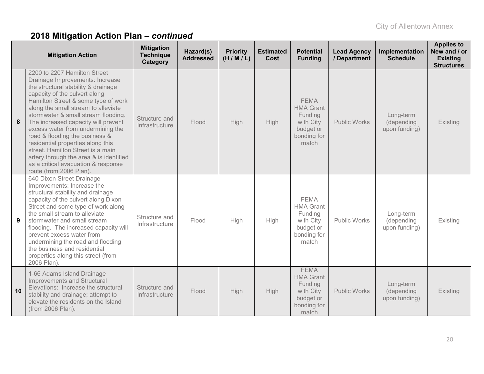|    | <b>Mitigation Action</b>                                                                                                                                                                                                                                                                                                                                                                                                                                                                                                                                          | <b>Mitigation</b><br><b>Technique</b><br>Category | Hazard(s)<br><b>Addressed</b> | <b>Priority</b><br>(H/M/L) | <b>Estimated</b><br>Cost | <b>Potential</b><br><b>Funding</b>                                                           | <b>Lead Agency</b><br>/ Department | Implementation<br><b>Schedule</b>        | <b>Applies to</b><br>New and / or<br><b>Existing</b><br><b>Structures</b> |
|----|-------------------------------------------------------------------------------------------------------------------------------------------------------------------------------------------------------------------------------------------------------------------------------------------------------------------------------------------------------------------------------------------------------------------------------------------------------------------------------------------------------------------------------------------------------------------|---------------------------------------------------|-------------------------------|----------------------------|--------------------------|----------------------------------------------------------------------------------------------|------------------------------------|------------------------------------------|---------------------------------------------------------------------------|
| 8  | 2200 to 2207 Hamilton Street<br>Drainage Improvements: Increase<br>the structural stability & drainage<br>capacity of the culvert along<br>Hamilton Street & some type of work<br>along the small stream to alleviate<br>stormwater & small stream flooding.<br>The increased capacity will prevent<br>excess water from undermining the<br>road & flooding the business &<br>residential properties along this<br>street. Hamilton Street is a main<br>artery through the area & is identified<br>as a critical evacuation & response<br>route (from 2006 Plan). | Structure and<br>Infrastructure                   | Flood                         | High                       | High                     | <b>FEMA</b><br><b>HMA Grant</b><br>Funding<br>with City<br>budget or<br>bonding for<br>match | <b>Public Works</b>                | Long-term<br>(depending<br>upon funding) | Existing                                                                  |
| 9  | 640 Dixon Street Drainage<br>Improvements: Increase the<br>structural stability and drainage<br>capacity of the culvert along Dixon<br>Street and some type of work along<br>the small stream to alleviate<br>stormwater and small stream<br>flooding. The increased capacity will<br>prevent excess water from<br>undermining the road and flooding<br>the business and residential<br>properties along this street (from<br>2006 Plan).                                                                                                                         | Structure and<br>Infrastructure                   | Flood                         | High                       | High                     | <b>FEMA</b><br><b>HMA Grant</b><br>Funding<br>with City<br>budget or<br>bonding for<br>match | <b>Public Works</b>                | Long-term<br>(depending<br>upon funding) | Existing                                                                  |
| 10 | 1-66 Adams Island Drainage<br>Improvements and Structural<br>Elevations: Increase the structural<br>stability and drainage; attempt to<br>elevate the residents on the Island<br>(from 2006 Plan).                                                                                                                                                                                                                                                                                                                                                                | Structure and<br>Infrastructure                   | Flood                         | High                       | <b>High</b>              | <b>FEMA</b><br><b>HMA Grant</b><br>Funding<br>with City<br>budget or<br>bonding for<br>match | <b>Public Works</b>                | Long-term<br>(depending<br>upon funding) | Existing                                                                  |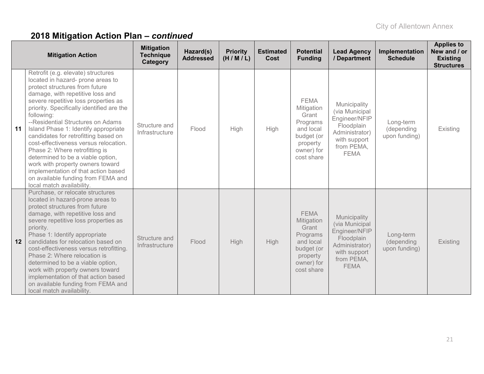|    | <b>Mitigation Action</b>                                                                                                                                                                                                                                                                                                                                                                                                                                                                                                                                                                                                            | <b>Mitigation</b><br><b>Technique</b><br>Category | Hazard(s)<br><b>Addressed</b> | <b>Priority</b><br>(H/M/L) | <b>Estimated</b><br>Cost | <b>Potential</b><br><b>Funding</b>                                                                                | <b>Lead Agency</b><br>/ Department                                                                                           | Implementation<br><b>Schedule</b>        | <b>Applies to</b><br>New and / or<br><b>Existing</b><br><b>Structures</b> |
|----|-------------------------------------------------------------------------------------------------------------------------------------------------------------------------------------------------------------------------------------------------------------------------------------------------------------------------------------------------------------------------------------------------------------------------------------------------------------------------------------------------------------------------------------------------------------------------------------------------------------------------------------|---------------------------------------------------|-------------------------------|----------------------------|--------------------------|-------------------------------------------------------------------------------------------------------------------|------------------------------------------------------------------------------------------------------------------------------|------------------------------------------|---------------------------------------------------------------------------|
| 11 | Retrofit (e.g. elevate) structures<br>located in hazard- prone areas to<br>protect structures from future<br>damage, with repetitive loss and<br>severe repetitive loss properties as<br>priority. Specifically identified are the<br>following:<br>--Residential Structures on Adams<br>Island Phase 1: Identify appropriate<br>candidates for retrofitting based on<br>cost-effectiveness versus relocation.<br>Phase 2: Where retrofitting is<br>determined to be a viable option,<br>work with property owners toward<br>implementation of that action based<br>on available funding from FEMA and<br>local match availability. | Structure and<br>Infrastructure                   | Flood                         | High                       | High                     | <b>FEMA</b><br>Mitigation<br>Grant<br>Programs<br>and local<br>budget (or<br>property<br>owner) for<br>cost share | Municipality<br>(via Municipal<br>Engineer/NFIP<br>Floodplain<br>Administrator)<br>with support<br>from PEMA,<br><b>FEMA</b> | Long-term<br>(depending<br>upon funding) | Existing                                                                  |
| 12 | Purchase, or relocate structures<br>located in hazard-prone areas to<br>protect structures from future<br>damage, with repetitive loss and<br>severe repetitive loss properties as<br>priority.<br>Phase 1: Identify appropriate<br>candidates for relocation based on<br>cost-effectiveness versus retrofitting.<br>Phase 2: Where relocation is<br>determined to be a viable option,<br>work with property owners toward<br>implementation of that action based<br>on available funding from FEMA and<br>local match availability.                                                                                                | Structure and<br>Infrastructure                   | Flood                         | High                       | High                     | <b>FEMA</b><br>Mitigation<br>Grant<br>Programs<br>and local<br>budget (or<br>property<br>owner) for<br>cost share | Municipality<br>(via Municipal<br>Engineer/NFIP<br>Floodplain<br>Administrator)<br>with support<br>from PEMA,<br><b>FEMA</b> | Long-term<br>(depending<br>upon funding) | Existing                                                                  |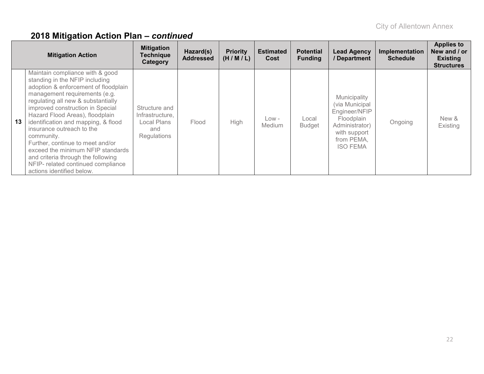|    | <b>Mitigation Action</b>                                                                                                                                                                                                                                                                                                                                                                                                                                                                                                    | <b>Mitigation</b><br><b>Technique</b><br>Category                     | Hazard(s)<br><b>Addressed</b> | <b>Priority</b><br>(H/M/L) | <b>Estimated</b><br>Cost | <b>Potential</b><br><b>Funding</b> | <b>Lead Agency</b><br>/ Department                                                                                               | Implementation<br><b>Schedule</b> | <b>Applies to</b><br>New and / or<br><b>Existing</b><br><b>Structures</b> |
|----|-----------------------------------------------------------------------------------------------------------------------------------------------------------------------------------------------------------------------------------------------------------------------------------------------------------------------------------------------------------------------------------------------------------------------------------------------------------------------------------------------------------------------------|-----------------------------------------------------------------------|-------------------------------|----------------------------|--------------------------|------------------------------------|----------------------------------------------------------------------------------------------------------------------------------|-----------------------------------|---------------------------------------------------------------------------|
| 13 | Maintain compliance with & good<br>standing in the NFIP including<br>adoption & enforcement of floodplain<br>management requirements (e.g.<br>regulating all new & substantially<br>improved construction in Special<br>Hazard Flood Areas), floodplain<br>identification and mapping, & flood<br>insurance outreach to the<br>community.<br>Further, continue to meet and/or<br>exceed the minimum NFIP standards<br>and criteria through the following<br>NFIP- related continued compliance<br>actions identified below. | Structure and<br>Infrastructure,<br>Local Plans<br>and<br>Regulations | Flood                         | High                       | Low -<br><b>Medium</b>   | Local<br><b>Budget</b>             | Municipality<br>(via Municipal<br>Engineer/NFIP<br>Floodplain<br>Administrator)<br>with support<br>from PEMA,<br><b>ISO FEMA</b> | Ongoing                           | New &<br>Existing                                                         |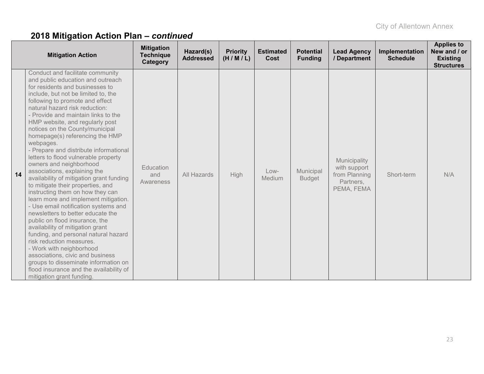|    | <b>Mitigation Action</b>                                                                                                                                                                                                                                                                                                                                                                                                                                                                                                                                                                                                                                                                                                                                                                                                                                                                                                                                                                                                                                                                           | <b>Mitigation</b><br><b>Technique</b><br>Category | Hazard(s)<br><b>Addressed</b> | <b>Priority</b><br>(H/M/L) | <b>Estimated</b><br>Cost | <b>Potential</b><br><b>Funding</b> | <b>Lead Agency</b><br>/ Department                                       | Implementation<br><b>Schedule</b> | <b>Applies to</b><br>New and / or<br><b>Existing</b><br><b>Structures</b> |
|----|----------------------------------------------------------------------------------------------------------------------------------------------------------------------------------------------------------------------------------------------------------------------------------------------------------------------------------------------------------------------------------------------------------------------------------------------------------------------------------------------------------------------------------------------------------------------------------------------------------------------------------------------------------------------------------------------------------------------------------------------------------------------------------------------------------------------------------------------------------------------------------------------------------------------------------------------------------------------------------------------------------------------------------------------------------------------------------------------------|---------------------------------------------------|-------------------------------|----------------------------|--------------------------|------------------------------------|--------------------------------------------------------------------------|-----------------------------------|---------------------------------------------------------------------------|
| 14 | Conduct and facilitate community<br>and public education and outreach<br>for residents and businesses to<br>include, but not be limited to, the<br>following to promote and effect<br>natural hazard risk reduction:<br>- Provide and maintain links to the<br>HMP website, and regularly post<br>notices on the County/municipal<br>homepage(s) referencing the HMP<br>webpages.<br>- Prepare and distribute informational<br>letters to flood vulnerable property<br>owners and neighborhood<br>associations, explaining the<br>availability of mitigation grant funding<br>to mitigate their properties, and<br>instructing them on how they can<br>learn more and implement mitigation.<br>- Use email notification systems and<br>newsletters to better educate the<br>public on flood insurance, the<br>availability of mitigation grant<br>funding, and personal natural hazard<br>risk reduction measures.<br>- Work with neighborhood<br>associations, civic and business<br>groups to disseminate information on<br>flood insurance and the availability of<br>mitigation grant funding. | Education<br>and<br>Awareness                     | All Hazards                   | High                       | Low-<br>Medium           | Municipal<br><b>Budget</b>         | Municipality<br>with support<br>from Planning<br>Partners,<br>PEMA, FEMA | Short-term                        | N/A                                                                       |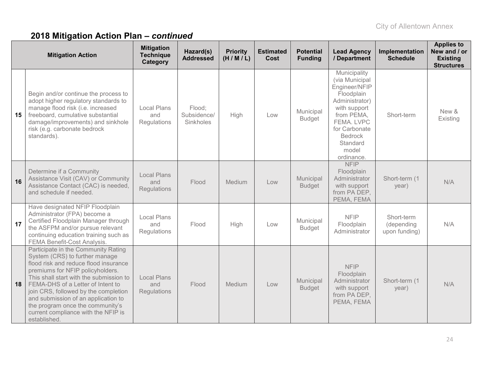|    | <b>Mitigation Action</b>                                                                                                                                                                                                                                                                                                                                                                                     | <b>Mitigation</b><br><b>Technique</b><br>Category | Hazard(s)<br><b>Addressed</b>      | <b>Priority</b><br>(H/M/L) | <b>Estimated</b><br>Cost | <b>Potential</b><br><b>Funding</b> | <b>Lead Agency</b><br>/ Department                                                                                                                                                                | Implementation<br><b>Schedule</b>         | <b>Applies to</b><br>New and / or<br><b>Existing</b><br><b>Structures</b> |
|----|--------------------------------------------------------------------------------------------------------------------------------------------------------------------------------------------------------------------------------------------------------------------------------------------------------------------------------------------------------------------------------------------------------------|---------------------------------------------------|------------------------------------|----------------------------|--------------------------|------------------------------------|---------------------------------------------------------------------------------------------------------------------------------------------------------------------------------------------------|-------------------------------------------|---------------------------------------------------------------------------|
| 15 | Begin and/or continue the process to<br>adopt higher regulatory standards to<br>manage flood risk (i.e. increased<br>freeboard, cumulative substantial<br>damage/improvements) and sinkhole<br>risk (e.g. carbonate bedrock<br>standards).                                                                                                                                                                   | <b>Local Plans</b><br>and<br>Regulations          | Flood:<br>Subsidence/<br>Sinkholes | High                       | Low                      | Municipal<br><b>Budget</b>         | Municipality<br>(via Municipal<br>Engineer/NFIP<br>Floodplain<br>Administrator)<br>with support<br>from PEMA,<br>FEMA, LVPC<br>for Carbonate<br><b>Bedrock</b><br>Standard<br>model<br>ordinance. | Short-term                                | New &<br>Existing                                                         |
| 16 | Determine if a Community<br>Assistance Visit (CAV) or Community<br>Assistance Contact (CAC) is needed,<br>and schedule if needed.                                                                                                                                                                                                                                                                            | <b>Local Plans</b><br>and<br>Regulations          | Flood                              | Medium                     | Low                      | Municipal<br><b>Budget</b>         | <b>NFIP</b><br>Floodplain<br>Administrator<br>with support<br>from PA DEP,<br>PEMA, FEMA                                                                                                          | Short-term (1<br>year)                    | N/A                                                                       |
| 17 | Have designated NFIP Floodplain<br>Administrator (FPA) become a<br>Certified Floodplain Manager through<br>the ASFPM and/or pursue relevant<br>continuing education training such as<br>FEMA Benefit-Cost Analysis.                                                                                                                                                                                          | <b>Local Plans</b><br>and<br>Regulations          | Flood                              | High                       | Low                      | Municipal<br><b>Budget</b>         | <b>NFIP</b><br>Floodplain<br>Administrator                                                                                                                                                        | Short-term<br>(depending<br>upon funding) | N/A                                                                       |
| 18 | Participate in the Community Rating<br>System (CRS) to further manage<br>flood risk and reduce flood insurance<br>premiums for NFIP policyholders.<br>This shall start with the submission to<br>FEMA-DHS of a Letter of Intent to<br>join CRS, followed by the completion<br>and submission of an application to<br>the program once the community's<br>current compliance with the NFIP is<br>established. | <b>Local Plans</b><br>and<br>Regulations          | Flood                              | Medium                     | Low                      | Municipal<br><b>Budget</b>         | <b>NFIP</b><br>Floodplain<br>Administrator<br>with support<br>from PA DEP,<br>PEMA, FEMA                                                                                                          | Short-term (1<br>year)                    | N/A                                                                       |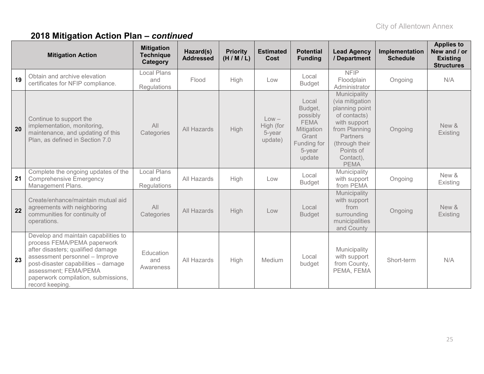| <b>Mitigation Action</b> |                                                                                                                                                                                                                                                                      | <b>Mitigation</b><br><b>Technique</b><br>Category | Hazard(s)<br><b>Addressed</b> | <b>Priority</b><br>(H/M/L) | <b>Estimated</b><br><b>Cost</b>           | <b>Potential</b><br><b>Funding</b>                                                                    | <b>Lead Agency</b><br>/ Department                                                                                                                                               | Implementation<br><b>Schedule</b> | <b>Applies to</b><br>New and / or<br><b>Existing</b><br><b>Structures</b> |
|--------------------------|----------------------------------------------------------------------------------------------------------------------------------------------------------------------------------------------------------------------------------------------------------------------|---------------------------------------------------|-------------------------------|----------------------------|-------------------------------------------|-------------------------------------------------------------------------------------------------------|----------------------------------------------------------------------------------------------------------------------------------------------------------------------------------|-----------------------------------|---------------------------------------------------------------------------|
| 19                       | Obtain and archive elevation<br>certificates for NFIP compliance.                                                                                                                                                                                                    | <b>Local Plans</b><br>and<br>Regulations          | Flood                         | High                       | Low                                       | Local<br><b>Budget</b>                                                                                | <b>NFIP</b><br>Floodplain<br>Administrator                                                                                                                                       | Ongoing                           | N/A                                                                       |
| 20                       | Continue to support the<br>implementation, monitoring,<br>maintenance, and updating of this<br>Plan, as defined in Section 7.0                                                                                                                                       | All<br>Categories                                 | <b>All Hazards</b>            | High                       | $Low -$<br>High (for<br>5-year<br>update) | Local<br>Budget,<br>possibly<br><b>FEMA</b><br>Mitigation<br>Grant<br>Funding for<br>5-year<br>update | Municipality<br>(via mitigation<br>planning point<br>of contacts)<br>with support<br>from Planning<br><b>Partners</b><br>(through their<br>Points of<br>Contact),<br><b>PEMA</b> | Ongoing                           | New &<br>Existing                                                         |
| 21                       | Complete the ongoing updates of the<br><b>Comprehensive Emergency</b><br>Management Plans.                                                                                                                                                                           | <b>Local Plans</b><br>and<br>Regulations          | All Hazards                   | High                       | Low                                       | Local<br><b>Budget</b>                                                                                | Municipality<br>with support<br>from PEMA                                                                                                                                        | Ongoing                           | New &<br>Existing                                                         |
| 22                       | Create/enhance/maintain mutual aid<br>agreements with neighboring<br>communities for continuity of<br>operations.                                                                                                                                                    | All<br>Categories                                 | All Hazards                   | High                       | Low                                       | Local<br><b>Budget</b>                                                                                | Municipality<br>with support<br>from<br>surrounding<br>municipalities<br>and County                                                                                              | Ongoing                           | New &<br>Existing                                                         |
| 23                       | Develop and maintain capabilities to<br>process FEMA/PEMA paperwork<br>after disasters; qualified damage<br>assessment personnel - Improve<br>post-disaster capabilities - damage<br>assessment; FEMA/PEMA<br>paperwork compilation, submissions,<br>record keeping. | Education<br>and<br>Awareness                     | All Hazards                   | High                       | Medium                                    | Local<br>budget                                                                                       | Municipality<br>with support<br>from County,<br>PEMA, FEMA                                                                                                                       | Short-term                        | N/A                                                                       |